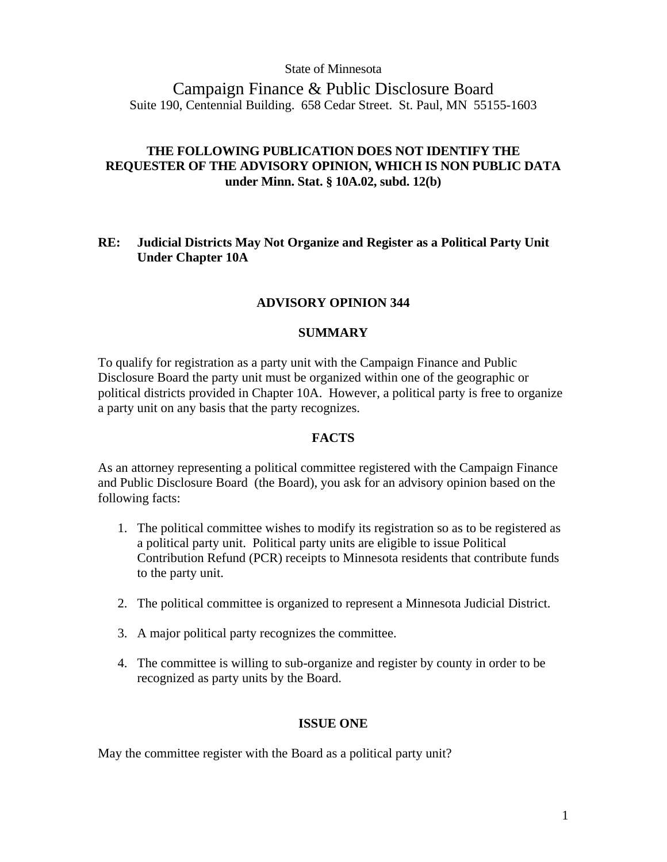State of Minnesota

Campaign Finance & Public Disclosure Board Suite 190, Centennial Building. 658 Cedar Street. St. Paul, MN 55155-1603

# **THE FOLLOWING PUBLICATION DOES NOT IDENTIFY THE REQUESTER OF THE ADVISORY OPINION, WHICH IS NON PUBLIC DATA under Minn. Stat. § 10A.02, subd. 12(b)**

## **RE: Judicial Districts May Not Organize and Register as a Political Party Unit Under Chapter 10A**

## **ADVISORY OPINION 344**

### **SUMMARY**

To qualify for registration as a party unit with the Campaign Finance and Public Disclosure Board the party unit must be organized within one of the geographic or political districts provided in Chapter 10A. However, a political party is free to organize a party unit on any basis that the party recognizes.

## **FACTS**

As an attorney representing a political committee registered with the Campaign Finance and Public Disclosure Board (the Board), you ask for an advisory opinion based on the following facts:

- 1. The political committee wishes to modify its registration so as to be registered as a political party unit. Political party units are eligible to issue Political Contribution Refund (PCR) receipts to Minnesota residents that contribute funds to the party unit.
- 2. The political committee is organized to represent a Minnesota Judicial District.
- 3. A major political party recognizes the committee.
- 4. The committee is willing to sub-organize and register by county in order to be recognized as party units by the Board.

### **ISSUE ONE**

May the committee register with the Board as a political party unit?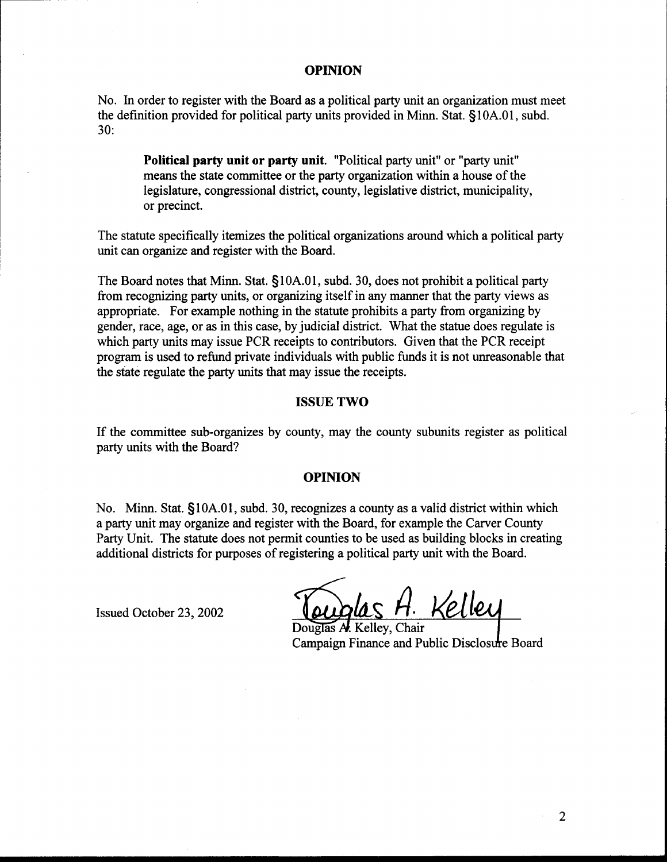#### **OPINION**

No. In order to register with the Board **as** a political party unit an organization must meet the definition provided for political party units provided in Minn. Stat. \$10A.01, subd. 30:

**Political party unit or party unit.** "Political party unit" or "party unit" means the state committee or the party organization within a house of the legislature, congressional district, county, legislative district, municipality, or precinct.

The statute specifically itemizes the political organizations around which a political party unit can organize and register with the Board.

The Board notes that Minn. Stat. §10A.01, subd. 30, does not prohibit a political party from recognizing party units, or organizing itself in any manner that the party views as appropriate. For example nothing in the statute prohibits a party from organizing by gender, race, age, or as in this case, by judicial district. What the statue does regulate is which party units may issue PCR receipts to contributors. Given that the PCR receipt program is used to refund private individuals with public funds it is not unreasonable that the state regulate the party units that may issue the receipts.

### **ISSUE TWO**

If the committee sub-organizes by county, may the county subunits register as political party units with the Board?

#### **OPINION**

No. Minn. Stat. §10A.01, subd. 30, recognizes a county as a valid district within which a party unit may organize and register with the Board, for example the Carver County Party Unit. The statute does not permit counties to be used as building blocks in creating additional districts for purposes of registering a political party unit with the Board.

Issued October 23,2002

<u>eller</u>

Douglas A. Kelley, Chair Campaign Finance and Public Disclosure Board